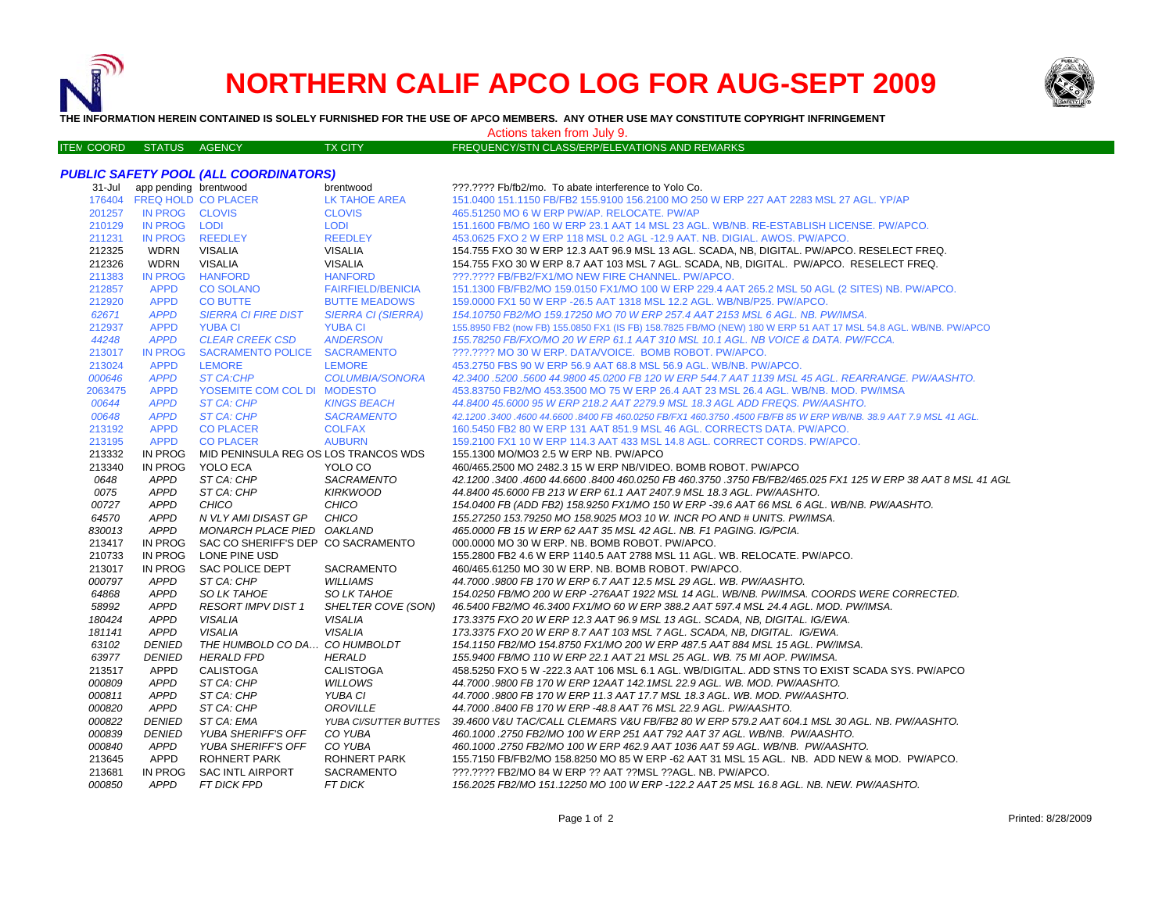

# **NORTHERN CALIF APCO LOG FOR AUG-SEPT 2009**



**THE INFORMATION HEREIN CONTAINED IS SOLELY FURNISHED FOR THE USE OF APCO MEMBERS. ANY OTHER USE MAY CONSTITUTE COPYRIGHT INFRINGEMENT**

Actions taken from July 9.

| <b>ITEN COORD</b> | <b>STATUS</b> | AGENCY | <b>TX CITY</b> | FREQUENCY/STN CLASS/ERP/ELEVATIONS AND REMARKS |
|-------------------|---------------|--------|----------------|------------------------------------------------|

# *PUBLIC SAFETY POOL (ALL COORDINATORS)*

| 31-Jul  | app pending brentwood      |                                      | brentwood                 | ???.???? Fb/fb2/mo. To abate interference to Yolo Co.                                                              |
|---------|----------------------------|--------------------------------------|---------------------------|--------------------------------------------------------------------------------------------------------------------|
|         | 176404 FREQ HOLD CO PLACER |                                      | <b>LK TAHOE AREA</b>      | 151.0400 151.1150 FB/FB2 155.9100 156.2100 MO 250 W ERP 227 AAT 2283 MSL 27 AGL. YP/AP                             |
| 201257  | IN PROG CLOVIS             |                                      | <b>CLOVIS</b>             | 465.51250 MO 6 W ERP PW/AP. RELOCATE. PW/AP                                                                        |
| 210129  | IN PROG LODI               |                                      | <b>LODI</b>               | 151.1600 FB/MO 160 W ERP 23.1 AAT 14 MSL 23 AGL, WB/NB, RE-ESTABLISH LICENSE, PW/APCO,                             |
| 211231  | <b>IN PROG</b>             | <b>REEDLEY</b>                       | <b>REEDLEY</b>            | 453.0625 FXO 2 W ERP 118 MSL 0.2 AGL -12.9 AAT. NB. DIGIAL. AWOS. PW/APCO.                                         |
| 212325  | <b>WDRN</b>                | <b>VISALIA</b>                       | <b>VISALIA</b>            | 154.755 FXO 30 W ERP 12.3 AAT 96.9 MSL 13 AGL. SCADA, NB, DIGITAL. PW/APCO. RESELECT FREQ.                         |
| 212326  | <b>WDRN</b>                | <b>VISALIA</b>                       | <b>VISALIA</b>            | 154.755 FXO 30 W ERP 8.7 AAT 103 MSL 7 AGL. SCADA, NB, DIGITAL. PW/APCO. RESELECT FREQ.                            |
| 211383  | <b>IN PROG</b>             | <b>HANFORD</b>                       | <b>HANFORD</b>            | ???.???? FB/FB2/FX1/MO NEW FIRE CHANNEL. PW/APCO.                                                                  |
| 212857  | <b>APPD</b>                | <b>CO SOLANO</b>                     | <b>FAIRFIELD/BENICIA</b>  | 151.1300 FB/FB2/MO 159.0150 FX1/MO 100 W ERP 229.4 AAT 265.2 MSL 50 AGL (2 SITES) NB. PW/APCO.                     |
| 212920  | <b>APPD</b>                | <b>CO BUTTE</b>                      | <b>BUTTE MEADOWS</b>      | 159.0000 FX1 50 W ERP - 26.5 AAT 1318 MSL 12.2 AGL. WB/NB/P25. PW/APCO.                                            |
| 62671   | <b>APPD</b>                | <b>SIERRA CI FIRE DIST</b>           | <b>SIERRA CI (SIERRA)</b> | 154.10750 FB2/MO 159.17250 MO 70 W ERP 257.4 AAT 2153 MSL 6 AGL. NB. PW/IMSA.                                      |
| 212937  | <b>APPD</b>                | <b>YUBA CI</b>                       | <b>YUBA CI</b>            | 155.8950 FB2 (now FB) 155.0850 FX1 (IS FB) 158.7825 FB/MO (NEW) 180 W ERP 51 AAT 17 MSL 54.8 AGL. WB/NB. PW/APCO   |
| 44248   | <b>APPD</b>                | <b>CLEAR CREEK CSD</b>               | <b>ANDERSON</b>           | 155.78250 FB/FXO/MO 20 W ERP 61.1 AAT 310 MSL 10.1 AGL. NB VOICE & DATA. PW/FCCA.                                  |
| 213017  | <b>IN PROG</b>             | SACRAMENTO POLICE SACRAMENTO         |                           | ???.???? MO 30 W ERP. DATA/VOICE. BOMB ROBOT. PW/APCO.                                                             |
| 213024  | <b>APPD</b>                | <b>LEMORE</b>                        | <b>LEMORE</b>             | 453.2750 FBS 90 W ERP 56.9 AAT 68.8 MSL 56.9 AGL. WB/NB. PW/APCO.                                                  |
| 000646  | <b>APPD</b>                | <b>ST CA:CHP</b>                     | <b>COLUMBIA/SONORA</b>    | 42.3400.5200.5600 44.9800 45.0200 FB 120 W ERP 544.7 AAT 1139 MSL 45 AGL. REARRANGE. PW/AASHTO.                    |
| 2063475 | <b>APPD</b>                | YOSEMITE COM COL DI MODESTO          |                           | 453.83750 FB2/MO 453.3500 MO 75 W ERP 26.4 AAT 23 MSL 26.4 AGL, WB/NB, MOD, PW/IMSA                                |
| 00644   | <b>APPD</b>                | <b>ST CA: CHP</b>                    | <b>KINGS BEACH</b>        | 44.8400 45.6000 95 W ERP 218.2 AAT 2279.9 MSL 18.3 AGL ADD FREQS. PW/AASHTO.                                       |
| 00648   | <b>APPD</b>                | ST CA: CHP                           | <b>SACRAMENTO</b>         | 42.1200 .3400 .4600 44.6600 .8400 FB 460.0250 FB/FX1 460.3750 .4500 FB/FB 85 W ERP WB/NB. 38.9 AAT 7.9 MSL 41 AGL. |
| 213192  | <b>APPD</b>                | <b>CO PLACER</b>                     | <b>COLFAX</b>             | 160.5450 FB2 80 W ERP 131 AAT 851.9 MSL 46 AGL. CORRECTS DATA. PW/APCO.                                            |
| 213195  | <b>APPD</b>                | <b>CO PLACER</b>                     | <b>AUBURN</b>             | 159.2100 FX1 10 W ERP 114.3 AAT 433 MSL 14.8 AGL, CORRECT CORDS, PW/APCO,                                          |
| 213332  | IN PROG                    | MID PENINSULA REG OS LOS TRANCOS WDS |                           | 155.1300 MO/MO3 2.5 W ERP NB. PW/APCO                                                                              |
| 213340  | IN PROG                    | YOLO ECA                             | YOLO CO                   | 460/465.2500 MO 2482.3 15 W ERP NB/VIDEO. BOMB ROBOT. PW/APCO                                                      |
| 0648    | <b>APPD</b>                | ST CA: CHP                           | SACRAMENTO                | 42.1200 .3400 .4600 44.6600 .8400 460.0250 FB 460.3750 .3750 FB/FB2/465.025 FX1 125 W ERP 38 AAT 8 MSL 41 AGL      |
| 0075    | <b>APPD</b>                | ST CA: CHP                           | <b>KIRKWOOD</b>           | 44.8400 45.6000 FB 213 W ERP 61.1 AAT 2407.9 MSL 18.3 AGL, PW/AASHTO,                                              |
| 00727   | <b>APPD</b>                | CHICO                                | <b>CHICO</b>              | 154.0400 FB (ADD FB2) 158.9250 FX1/MO 150 W ERP -39.6 AAT 66 MSL 6 AGL. WB/NB. PW/AASHTO.                          |
| 64570   | <b>APPD</b>                | N VLY AMI DISAST GP                  | CHICO                     | 155.27250 153.79250 MO 158.9025 MO3 10 W. INCR PO AND # UNITS. PW/IMSA.                                            |
| 830013  | <b>APPD</b>                | MONARCH PLACE PIED OAKLAND           |                           | 465.0000 FB 15 W ERP 62 AAT 35 MSL 42 AGL. NB. F1 PAGING. IG/PCIA.                                                 |
| 213417  | IN PROG                    | SAC CO SHERIFF'S DEP CO SACRAMENTO   |                           | 000,0000 MO 30 W ERP. NB. BOMB ROBOT. PW/APCO.                                                                     |
| 210733  | IN PROG                    | LONE PINE USD                        |                           | 155.2800 FB2 4.6 W ERP 1140.5 AAT 2788 MSL 11 AGL. WB. RELOCATE. PW/APCO.                                          |
| 213017  | IN PROG                    | <b>SAC POLICE DEPT</b>               | <b>SACRAMENTO</b>         | 460/465.61250 MO 30 W ERP. NB. BOMB ROBOT. PW/APCO.                                                                |
| 000797  | <b>APPD</b>                | ST CA: CHP                           | <b>WILLIAMS</b>           | 44.7000.9800 FB 170 W ERP 6.7 AAT 12.5 MSL 29 AGL. WB. PW/AASHTO.                                                  |
| 64868   | <b>APPD</b>                | SO LK TAHOE                          | <b>SO LK TAHOE</b>        | 154.0250 FB/MO 200 W ERP -276AAT 1922 MSL 14 AGL, WB/NB, PW/IMSA, COORDS WERE CORRECTED.                           |
| 58992   | <b>APPD</b>                | <b>RESORT IMPV DIST 1</b>            | SHELTER COVE (SON)        | 46.5400 FB2/MO 46.3400 FX1/MO 60 W ERP 388.2 AAT 597.4 MSL 24.4 AGL. MOD. PW/IMSA.                                 |
| 180424  | <b>APPD</b>                | <b>VISALIA</b>                       | <b>VISALIA</b>            | 173.3375 FXO 20 W ERP 12.3 AAT 96.9 MSL 13 AGL. SCADA, NB, DIGITAL. IG/EWA.                                        |
| 181141  | <b>APPD</b>                | <b>VISALIA</b>                       | <b>VISALIA</b>            | 173.3375 FXO 20 W ERP 8.7 AAT 103 MSL 7 AGL. SCADA, NB, DIGITAL. IG/EWA.                                           |
| 63102   | <b>DENIED</b>              | THE HUMBOLD CO DA CO HUMBOLDT        |                           | 154.1150 FB2/MO 154.8750 FX1/MO 200 W ERP 487.5 AAT 884 MSL 15 AGL. PW/IMSA.                                       |
| 63977   | <b>DENIED</b>              | <b>HERALD FPD</b>                    | <b>HERALD</b>             | 155.9400 FB/MO 110 W ERP 22.1 AAT 21 MSL 25 AGL. WB. 75 MI AOP. PW/IMSA.                                           |
| 213517  | <b>APPD</b>                | <b>CALISTOGA</b>                     | <b>CALISTOGA</b>          | 458.5250 FXO 5 W -222.3 AAT 106 MSL 6.1 AGL. WB/DIGITAL. ADD STNS TO EXIST SCADA SYS. PW/APCO                      |
| 000809  | <b>APPD</b>                | ST CA: CHP                           | <b>WILLOWS</b>            | 44.7000 .9800 FB 170 W ERP 12AAT 142.1MSL 22.9 AGL. WB. MOD. PW/AASHTO.                                            |
| 000811  | <b>APPD</b>                | ST CA: CHP                           | YUBA CI                   | 44.7000.9800 FB 170 W ERP 11.3 AAT 17.7 MSL 18.3 AGL. WB. MOD. PW/AASHTO.                                          |
| 000820  | APPD                       | ST CA: CHP                           | OROVILLE                  | 44.7000.8400 FB 170 W ERP -48.8 AAT 76 MSL 22.9 AGL. PW/AASHTO.                                                    |
| 000822  | <b>DENIED</b>              | ST CA: EMA                           | YUBA CI/SUTTER BUTTES     | 39.4600 V&U TAC/CALL CLEMARS V&U FB/FB2 80 W ERP 579.2 AAT 604.1 MSL 30 AGL. NB. PW/AASHTO.                        |
| 000839  | <b>DENIED</b>              | YUBA SHERIFF'S OFF                   | CO YUBA                   | 460.1000.2750 FB2/MO 100 W ERP 251 AAT 792 AAT 37 AGL. WB/NB. PW/AASHTO.                                           |
| 000840  | APPD                       | YUBA SHERIFF'S OFF                   | CO YUBA                   | 460.1000.2750 FB2/MO 100 W ERP 462.9 AAT 1036 AAT 59 AGL. WB/NB. PW/AASHTO.                                        |
| 213645  | <b>APPD</b>                | <b>ROHNERT PARK</b>                  | ROHNERT PARK              | 155.7150 FB/FB2/MO 158.8250 MO 85 W ERP -62 AAT 31 MSL 15 AGL. NB. ADD NEW & MOD. PW/APCO.                         |
| 213681  | IN PROG                    | <b>SAC INTL AIRPORT</b>              | <b>SACRAMENTO</b>         | ???.???? FB2/MO 84 W ERP ?? AAT ?? MSL ?? AGL. NB. PW/APCO.                                                        |
| 000850  | <b>APPD</b>                | FT DICK FPD                          | <b>FT DICK</b>            | 156.2025 FB2/MO 151.12250 MO 100 W ERP -122.2 AAT 25 MSL 16.8 AGL. NB. NEW. PW/AASHTO.                             |